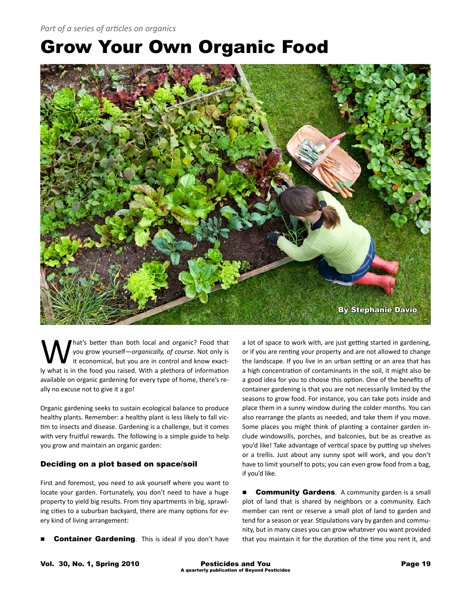# Grow Your Own Organic Food



What's better than both local and organic? Food that you grow yourself—*organically, of course*. Not only is it economical, but you are in control and know exactyou grow yourself—*organically, of course*. Not only is ly what is in the food you raised. With a plethora of information available on organic gardening for every type of home, there's really no excuse not to give it a go!

Organic gardening seeks to sustain ecological balance to produce healthy plants. Remember: a healthy plant is less likely to fall victim to insects and disease. Gardening is a challenge, but it comes with very fruitful rewards. The following is a simple guide to help you grow and maintain an organic garden:

# Deciding on a plot based on space/soil

First and foremost, you need to ask yourself where you want to locate your garden. Fortunately, you don't need to have a huge property to yield big results. From tiny apartments in big, sprawling cities to a suburban backyard, there are many options for every kind of living arrangement:

Container Gardening. This is ideal if you don't have

a lot of space to work with, are just getting started in gardening, or if you are renting your property and are not allowed to change the landscape. If you live in an urban setting or an area that has a high concentration of contaminants in the soil, it might also be a good idea for you to choose this option. One of the benefits of container gardening is that you are not necessarily limited by the seasons to grow food. For instance, you can take pots inside and place them in a sunny window during the colder months. You can also rearrange the plants as needed, and take them if you move. Some places you might think of planting a container garden include windowsills, porches, and balconies, but be as creative as you'd like! Take advantage of vertical space by putting up shelves or a trellis. Just about any sunny spot will work, and you don't have to limit yourself to pots; you can even grow food from a bag, if you'd like.

**Community Gardens.** A community garden is a small plot of land that is shared by neighbors or a community. Each member can rent or reserve a small plot of land to garden and tend for a season or year. Stipulations vary by garden and community, but in many cases you can grow whatever you want provided that you maintain it for the duration of the time you rent it, and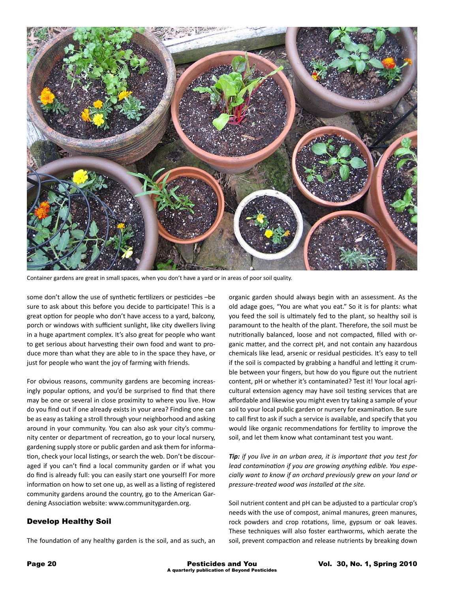

Container gardens are great in small spaces, when you don't have a yard or in areas of poor soil quality.

some don't allow the use of synthetic fertilizers or pesticides –be sure to ask about this before you decide to participate! This is a great option for people who don't have access to a yard, balcony, porch or windows with sufficient sunlight, like city dwellers living in a huge apartment complex. It's also great for people who want to get serious about harvesting their own food and want to produce more than what they are able to in the space they have, or just for people who want the joy of farming with friends.

For obvious reasons, community gardens are becoming increasingly popular options, and you'd be surprised to find that there may be one or several in close proximity to where you live. How do you find out if one already exists in your area? Finding one can be as easy as taking a stroll through your neighborhood and asking around in your community. You can also ask your city's community center or department of recreation, go to your local nursery, gardening supply store or public garden and ask them for information, check your local listings, or search the web. Don't be discouraged if you can't find a local community garden or if what you do find is already full: you can easily start one yourself! For more information on how to set one up, as well as a listing of registered community gardens around the country, go to the American Gardening Association website: www.communitygarden.org.

## Develop Healthy Soil

The foundation of any healthy garden is the soil, and as such, an

organic garden should always begin with an assessment. As the old adage goes, "You are what you eat." So it is for plants: what you feed the soil is ultimately fed to the plant, so healthy soil is paramount to the health of the plant. Therefore, the soil must be nutritionally balanced, loose and not compacted, filled with organic matter, and the correct pH, and not contain any hazardous chemicals like lead, arsenic or residual pesticides. It's easy to tell if the soil is compacted by grabbing a handful and letting it crumble between your fingers, but how do you figure out the nutrient content, pH or whether it's contaminated? Test it! Your local agricultural extension agency may have soil testing services that are affordable and likewise you might even try taking a sample of your soil to your local public garden or nursery for examination. Be sure to call first to ask if such a service is available, and specify that you would like organic recommendations for fertility to improve the soil, and let them know what contaminant test you want.

*Tip: if you live in an urban area, it is important that you test for lead contamination if you are growing anything edible. You especially want to know if an orchard previously grew on your land or pressure-treated wood was installed at the site.* 

Soil nutrient content and pH can be adjusted to a particular crop's needs with the use of compost, animal manures, green manures, rock powders and crop rotations, lime, gypsum or oak leaves. These techniques will also foster earthworms, which aerate the soil, prevent compaction and release nutrients by breaking down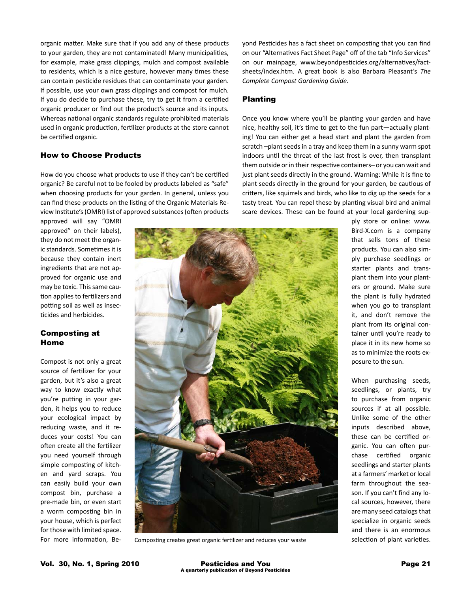organic matter. Make sure that if you add any of these products to your garden, they are not contaminated! Many municipalities, for example, make grass clippings, mulch and compost available to residents, which is a nice gesture, however many times these can contain pesticide residues that can contaminate your garden. If possible, use your own grass clippings and compost for mulch. If you do decide to purchase these, try to get it from a certified organic producer or find out the product's source and its inputs. Whereas national organic standards regulate prohibited materials used in organic production, fertilizer products at the store cannot be certified organic.

## How to Choose Products

How do you choose what products to use if they can't be certified organic? Be careful not to be fooled by products labeled as "safe" when choosing products for your garden. In general, unless you can find these products on the listing of the Organic Materials Review Institute's (OMRI) list of approved substances (often products

approved will say "OMRI approved" on their labels), they do not meet the organic standards. Sometimes it is because they contain inert ingredients that are not approved for organic use and may be toxic. This same caution applies to fertilizers and potting soil as well as insecticides and herbicides.

# Composting at Home

Compost is not only a great source of fertilizer for your garden, but it's also a great way to know exactly what you're putting in your garden, it helps you to reduce your ecological impact by reducing waste, and it reduces your costs! You can often create all the fertilizer you need yourself through simple composting of kitchen and yard scraps. You can easily build your own compost bin, purchase a pre-made bin, or even start a worm composting bin in your house, which is perfect for those with limited space. For more information, Beyond Pesticides has a fact sheet on composting that you can find on our "Alternatives Fact Sheet Page" off of the tab "Info Services" on our mainpage, www.beyondpesticides.org/alternatives/factsheets/index.htm. A great book is also Barbara Pleasant's *The Complete Compost Gardening Guide*.

## Planting

Once you know where you'll be planting your garden and have nice, healthy soil, it's time to get to the fun part—actually planting! You can either get a head start and plant the garden from scratch –plant seeds in a tray and keep them in a sunny warm spot indoors until the threat of the last frost is over, then transplant them outside or in their respective containers– or you can wait and just plant seeds directly in the ground. Warning: While it is fine to plant seeds directly in the ground for your garden, be cautious of critters, like squirrels and birds, who like to dig up the seeds for a tasty treat. You can repel these by planting visual bird and animal scare devices. These can be found at your local gardening sup-

> ply store or online: www. Bird-X.com is a company that sells tons of these products. You can also simply purchase seedlings or starter plants and transplant them into your planters or ground. Make sure the plant is fully hydrated when you go to transplant it, and don't remove the plant from its original container until you're ready to place it in its new home so as to minimize the roots exposure to the sun.

> > When purchasing seeds, seedlings, or plants, try to purchase from organic sources if at all possible. Unlike some of the other inputs described above, these can be certified organic. You can often purchase certified organic seedlings and starter plants at a farmers' market or local farm throughout the season. If you can't find any local sources, however, there are many seed catalogs that specialize in organic seeds and there is an enormous

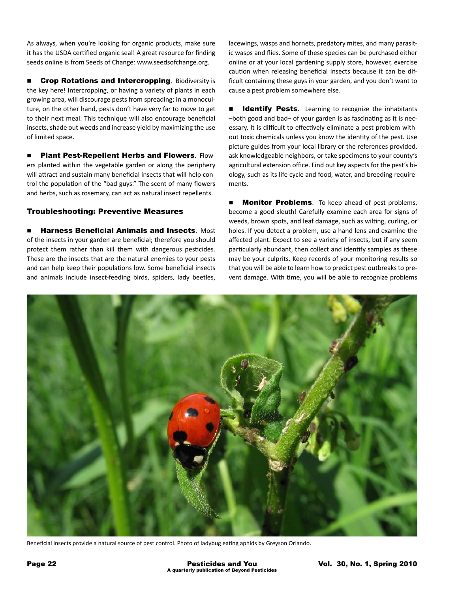As always, when you're looking for organic products, make sure it has the USDA certified organic seal! A great resource for finding seeds online is from Seeds of Change: www.seedsofchange.org.

**n** Crop Rotations and Intercropping. Biodiversity is the key here! Intercropping, or having a variety of plants in each growing area, will discourage pests from spreading; in a monoculture, on the other hand, pests don't have very far to move to get to their next meal. This technique will also encourage beneficial insects, shade out weeds and increase yield by maximizing the use of limited space.

**n** Plant Pest-Repellent Herbs and Flowers. Flowers planted within the vegetable garden or along the periphery will attract and sustain many beneficial insects that will help control the population of the "bad guys." The scent of many flowers and herbs, such as rosemary, can act as natural insect repellents.

# Troubleshooting: Preventive Measures

Harness Beneficial Animals and Insects. Most of the insects in your garden are beneficial; therefore you should protect them rather than kill them with dangerous pesticides. These are the insects that are the natural enemies to your pests and can help keep their populations low. Some beneficial insects and animals include insect-feeding birds, spiders, lady beetles,

lacewings, wasps and hornets, predatory mites, and many parasitic wasps and flies. Some of these species can be purchased either online or at your local gardening supply store, however, exercise caution when releasing beneficial insects because it can be difficult containing these guys in your garden, and you don't want to cause a pest problem somewhere else.

Identify Pests. Learning to recognize the inhabitants –both good and bad– of your garden is as fascinating as it is necessary. It is difficult to effectively eliminate a pest problem without toxic chemicals unless you know the identity of the pest. Use picture guides from your local library or the references provided, ask knowledgeable neighbors, or take specimens to your county's agricultural extension office. Find out key aspects for the pest's biology, such as its life cycle and food, water, and breeding requirements.

**n Monitor Problems**. To keep ahead of pest problems, become a good sleuth! Carefully examine each area for signs of weeds, brown spots, and leaf damage, such as wilting, curling, or holes. If you detect a problem, use a hand lens and examine the affected plant. Expect to see a variety of insects, but if any seem particularly abundant, then collect and identify samples as these may be your culprits. Keep records of your monitoring results so that you will be able to learn how to predict pest outbreaks to prevent damage. With time, you will be able to recognize problems



Beneficial insects provide a natural source of pest control. Photo of ladybug eating aphids by Greyson Orlando.